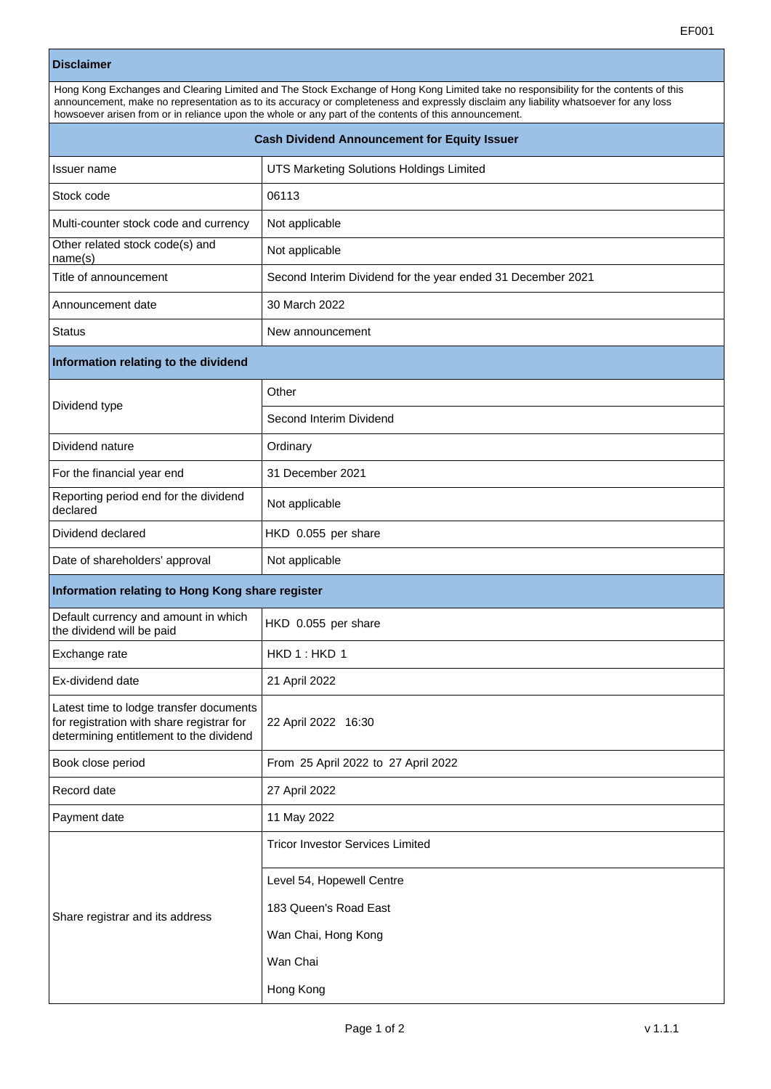|                                                                                                                                 | EF001                                                                                                                                                                                                                                                                                                                                                                                 |
|---------------------------------------------------------------------------------------------------------------------------------|---------------------------------------------------------------------------------------------------------------------------------------------------------------------------------------------------------------------------------------------------------------------------------------------------------------------------------------------------------------------------------------|
| <b>Disclaimer</b>                                                                                                               |                                                                                                                                                                                                                                                                                                                                                                                       |
|                                                                                                                                 | Hong Kong Exchanges and Clearing Limited and The Stock Exchange of Hong Kong Limited take no responsibility for the contents of this<br>announcement, make no representation as to its accuracy or completeness and expressly disclaim any liability whatsoever for any loss<br>howsoever arisen from or in reliance upon the whole or any part of the contents of this announcement. |
| <b>Cash Dividend Announcement for Equity Issuer</b>                                                                             |                                                                                                                                                                                                                                                                                                                                                                                       |
| Issuer name                                                                                                                     | UTS Marketing Solutions Holdings Limited                                                                                                                                                                                                                                                                                                                                              |
| Stock code                                                                                                                      | 06113                                                                                                                                                                                                                                                                                                                                                                                 |
| Multi-counter stock code and currency                                                                                           | Not applicable                                                                                                                                                                                                                                                                                                                                                                        |
| Other related stock code(s) and<br>name(s)                                                                                      | Not applicable                                                                                                                                                                                                                                                                                                                                                                        |
| Title of announcement                                                                                                           | Second Interim Dividend for the year ended 31 December 2021                                                                                                                                                                                                                                                                                                                           |
| Announcement date                                                                                                               | 30 March 2022                                                                                                                                                                                                                                                                                                                                                                         |
| <b>Status</b>                                                                                                                   | New announcement                                                                                                                                                                                                                                                                                                                                                                      |
| Information relating to the dividend                                                                                            |                                                                                                                                                                                                                                                                                                                                                                                       |
| Dividend type                                                                                                                   | Other                                                                                                                                                                                                                                                                                                                                                                                 |
|                                                                                                                                 | Second Interim Dividend                                                                                                                                                                                                                                                                                                                                                               |
| Dividend nature                                                                                                                 | Ordinary                                                                                                                                                                                                                                                                                                                                                                              |
| For the financial year end                                                                                                      | 31 December 2021                                                                                                                                                                                                                                                                                                                                                                      |
| Reporting period end for the dividend<br>declared                                                                               | Not applicable                                                                                                                                                                                                                                                                                                                                                                        |
| Dividend declared                                                                                                               | HKD 0.055 per share                                                                                                                                                                                                                                                                                                                                                                   |
| Date of shareholders' approval                                                                                                  | Not applicable                                                                                                                                                                                                                                                                                                                                                                        |
| Information relating to Hong Kong share register                                                                                |                                                                                                                                                                                                                                                                                                                                                                                       |
| Default currency and amount in which<br>the dividend will be paid                                                               | HKD 0.055 per share                                                                                                                                                                                                                                                                                                                                                                   |
| Exchange rate                                                                                                                   | HKD 1: HKD 1                                                                                                                                                                                                                                                                                                                                                                          |
| Ex-dividend date                                                                                                                | 21 April 2022                                                                                                                                                                                                                                                                                                                                                                         |
| Latest time to lodge transfer documents<br>for registration with share registrar for<br>determining entitlement to the dividend | 22 April 2022 16:30                                                                                                                                                                                                                                                                                                                                                                   |
| Book close period                                                                                                               | From 25 April 2022 to 27 April 2022                                                                                                                                                                                                                                                                                                                                                   |
| Record date                                                                                                                     | 27 April 2022                                                                                                                                                                                                                                                                                                                                                                         |
| Payment date                                                                                                                    | 11 May 2022                                                                                                                                                                                                                                                                                                                                                                           |
|                                                                                                                                 | <b>Tricor Investor Services Limited</b>                                                                                                                                                                                                                                                                                                                                               |
|                                                                                                                                 | Level 54, Hopewell Centre                                                                                                                                                                                                                                                                                                                                                             |
| Share registrar and its address                                                                                                 | 183 Queen's Road East                                                                                                                                                                                                                                                                                                                                                                 |

Hong Kong